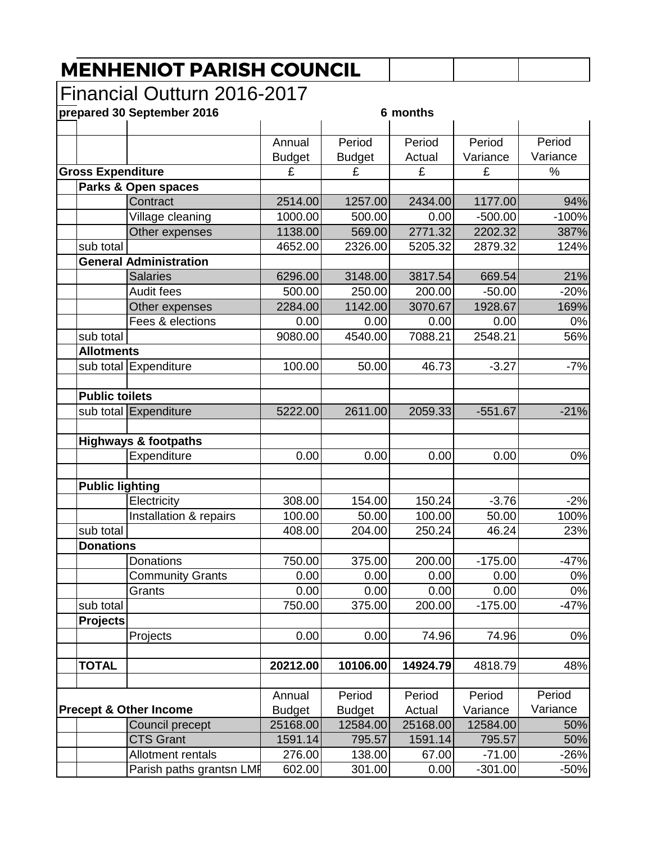## **MENHENIOT PARISH COUNCIL**

## Financial Outturn 2016-2017

| prepared 30 September 2016 |                                   | 6 months      |               |          |           |          |  |
|----------------------------|-----------------------------------|---------------|---------------|----------|-----------|----------|--|
|                            |                                   | Annual        | Period        | Period   | Period    | Period   |  |
|                            |                                   | <b>Budget</b> | <b>Budget</b> | Actual   | Variance  | Variance |  |
| <b>Gross Expenditure</b>   |                                   | £             | £             | £        | £         | $\%$     |  |
|                            | Parks & Open spaces               |               |               |          |           |          |  |
|                            | Contract                          | 2514.00       | 1257.00       | 2434.00  | 1177.00   | 94%      |  |
|                            | Village cleaning                  | 1000.00       | 500.00        | 0.00     | $-500.00$ | $-100%$  |  |
|                            | Other expenses                    | 1138.00       | 569.00        | 2771.32  | 2202.32   | 387%     |  |
| sub total                  |                                   | 4652.00       | 2326.00       | 5205.32  | 2879.32   | 124%     |  |
|                            | <b>General Administration</b>     |               |               |          |           |          |  |
|                            | <b>Salaries</b>                   | 6296.00       | 3148.00       | 3817.54  | 669.54    | 21%      |  |
|                            | Audit fees                        | 500.00        | 250.00        | 200.00   | $-50.00$  | $-20%$   |  |
|                            | Other expenses                    | 2284.00       | 1142.00       | 3070.67  | 1928.67   | 169%     |  |
|                            | Fees & elections                  | 0.00          | 0.00          | 0.00     | 0.00      | 0%       |  |
| sub total                  |                                   | 9080.00       | 4540.00       | 7088.21  | 2548.21   | 56%      |  |
| <b>Allotments</b>          |                                   |               |               |          |           |          |  |
|                            | sub total Expenditure             | 100.00        | 50.00         | 46.73    | $-3.27$   | $-7%$    |  |
| <b>Public toilets</b>      |                                   |               |               |          |           |          |  |
|                            | sub total Expenditure             | 5222.00       | 2611.00       | 2059.33  | $-551.67$ | $-21%$   |  |
|                            | <b>Highways &amp; footpaths</b>   |               |               |          |           |          |  |
|                            | Expenditure                       | 0.00          | 0.00          | 0.00     | 0.00      | 0%       |  |
| <b>Public lighting</b>     |                                   |               |               |          |           |          |  |
|                            | Electricity                       | 308.00        | 154.00        | 150.24   | $-3.76$   | $-2%$    |  |
|                            | Installation & repairs            | 100.00        | 50.00         | 100.00   | 50.00     | 100%     |  |
| sub total                  |                                   | 408.00        | 204.00        | 250.24   | 46.24     | 23%      |  |
| <b>Donations</b>           |                                   |               |               |          |           |          |  |
|                            | Donations                         | 750.00        | 375.00        | 200.00   | $-175.00$ | $-47%$   |  |
|                            | <b>Community Grants</b>           | 0.00          | 0.00          | 0.00     | 0.00      | 0%       |  |
|                            | Grants                            | 0.00          | 0.00          | 0.00     | 0.00      | 0%       |  |
| sub total                  |                                   | 750.00        | 375.00        | 200.00   | $-175.00$ | $-47%$   |  |
| <b>Projects</b>            |                                   |               |               |          |           |          |  |
|                            | Projects                          | 0.00          | 0.00          | 74.96    | 74.96     | 0%       |  |
| <b>TOTAL</b>               |                                   | 20212.00      | 10106.00      | 14924.79 | 4818.79   | 48%      |  |
|                            |                                   |               |               |          |           |          |  |
|                            |                                   | Annual        | Period        | Period   | Period    | Period   |  |
|                            | <b>Precept &amp; Other Income</b> | <b>Budget</b> | <b>Budget</b> | Actual   | Variance  | Variance |  |
|                            | Council precept                   | 25168.00      | 12584.00      | 25168.00 | 12584.00  | 50%      |  |
|                            | <b>CTS Grant</b>                  | 1591.14       | 795.57        | 1591.14  | 795.57    | 50%      |  |
|                            | Allotment rentals                 | 276.00        | 138.00        | 67.00    | $-71.00$  | $-26%$   |  |
|                            | Parish paths grantsn LMF          | 602.00        | 301.00        | 0.00     | $-301.00$ | $-50%$   |  |